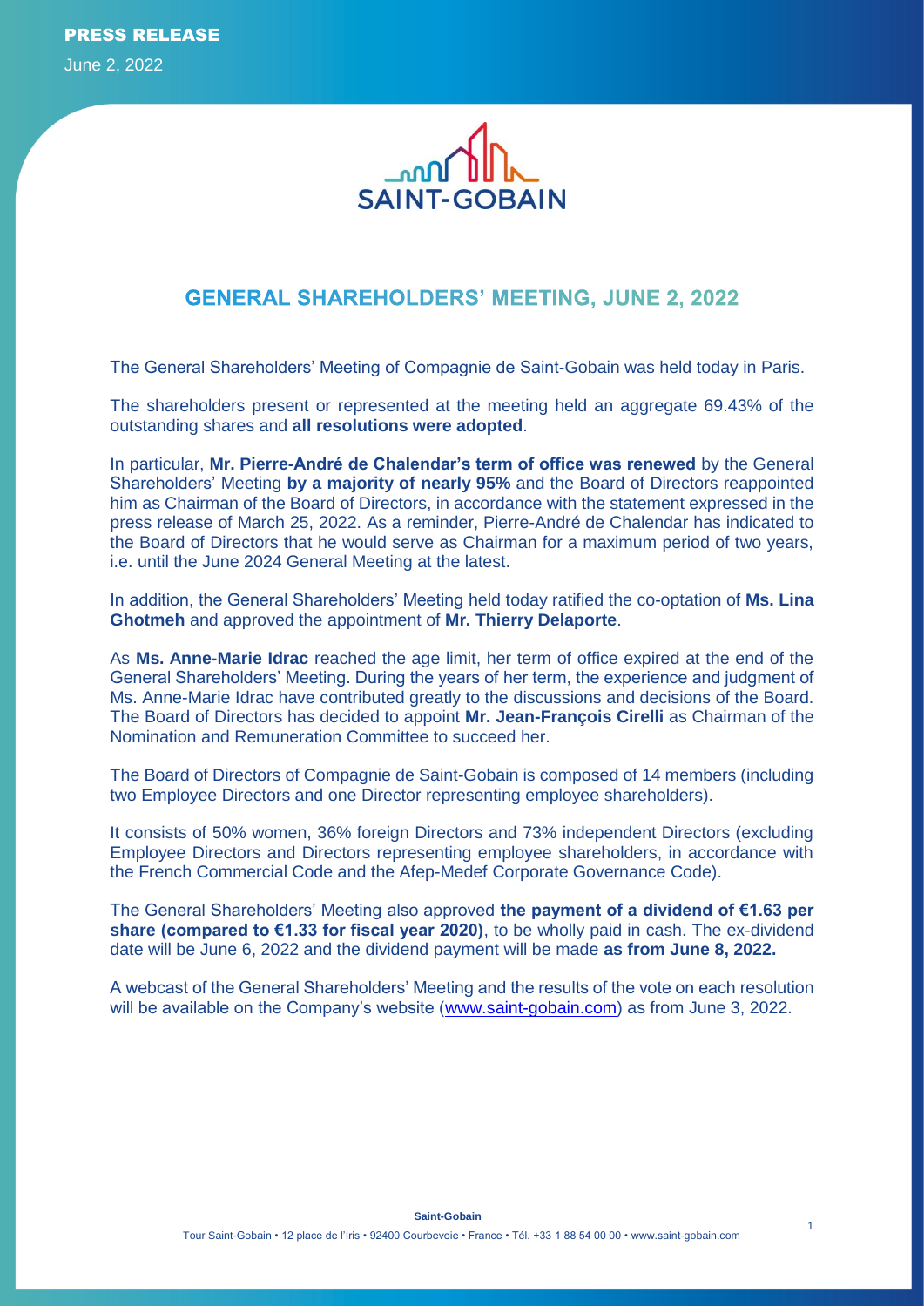

# **GENERAL SHAREHOLDERS' MEETING, JUNE 2, 2022**

The General Shareholders' Meeting of Compagnie de Saint-Gobain was held today in Paris.

The shareholders present or represented at the meeting held an aggregate 69.43% of the outstanding shares and **all resolutions were adopted**.

In particular, **Mr. Pierre-André de Chalendar's term of office was renewed** by the General Shareholders' Meeting **by a majority of nearly 95%** and the Board of Directors reappointed him as Chairman of the Board of Directors, in accordance with the statement expressed in the press release of March 25, 2022. As a reminder, Pierre-André de Chalendar has indicated to the Board of Directors that he would serve as Chairman for a maximum period of two years, i.e. until the June 2024 General Meeting at the latest.

In addition, the General Shareholders' Meeting held today ratified the co-optation of **Ms. Lina Ghotmeh** and approved the appointment of **Mr. Thierry Delaporte**.

As **Ms. Anne-Marie Idrac** reached the age limit, her term of office expired at the end of the General Shareholders' Meeting. During the years of her term, the experience and judgment of Ms. Anne-Marie Idrac have contributed greatly to the discussions and decisions of the Board. The Board of Directors has decided to appoint **Mr. Jean-François Cirelli** as Chairman of the Nomination and Remuneration Committee to succeed her.

The Board of Directors of Compagnie de Saint-Gobain is composed of 14 members (including two Employee Directors and one Director representing employee shareholders).

It consists of 50% women, 36% foreign Directors and 73% independent Directors (excluding Employee Directors and Directors representing employee shareholders, in accordance with the French Commercial Code and the Afep-Medef Corporate Governance Code).

The General Shareholders' Meeting also approved **the payment of a dividend of €1.63 per share (compared to €1.33 for fiscal year 2020)**, to be wholly paid in cash. The ex-dividend date will be June 6, 2022 and the dividend payment will be made **as from June 8, 2022.**

A webcast of the General Shareholders' Meeting and the results of the vote on each resolution will be available on the Company's website [\(www.saint-gobain.com\)](http://www.saint-gobain.com/) as from June 3, 2022.